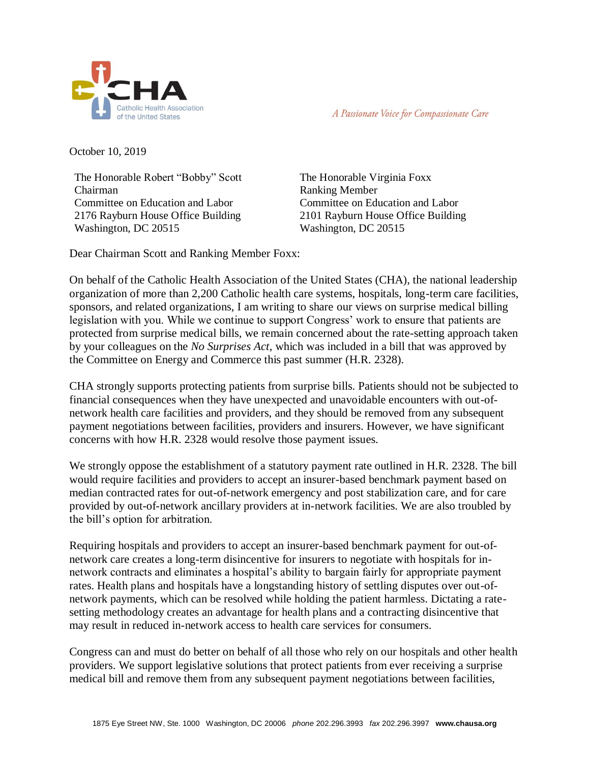

A Passionate Voice for Compassionate Care

October 10, 2019

The Honorable Robert "Bobby" Scott Chairman Committee on Education and Labor 2176 Rayburn House Office Building Washington, DC 20515

The Honorable Virginia Foxx Ranking Member Committee on Education and Labor 2101 Rayburn House Office Building Washington, DC 20515

Dear Chairman Scott and Ranking Member Foxx:

On behalf of the Catholic Health Association of the United States (CHA), the national leadership organization of more than 2,200 Catholic health care systems, hospitals, long-term care facilities, sponsors, and related organizations, I am writing to share our views on surprise medical billing legislation with you. While we continue to support Congress' work to ensure that patients are protected from surprise medical bills, we remain concerned about the rate-setting approach taken by your colleagues on the *No Surprises Act*, which was included in a bill that was approved by the Committee on Energy and Commerce this past summer (H.R. 2328).

CHA strongly supports protecting patients from surprise bills. Patients should not be subjected to financial consequences when they have unexpected and unavoidable encounters with out-ofnetwork health care facilities and providers, and they should be removed from any subsequent payment negotiations between facilities, providers and insurers. However, we have significant concerns with how H.R. 2328 would resolve those payment issues.

We strongly oppose the establishment of a statutory payment rate outlined in H.R. 2328. The bill would require facilities and providers to accept an insurer-based benchmark payment based on median contracted rates for out-of-network emergency and post stabilization care, and for care provided by out-of-network ancillary providers at in-network facilities. We are also troubled by the bill's option for arbitration.

Requiring hospitals and providers to accept an insurer-based benchmark payment for out-ofnetwork care creates a long-term disincentive for insurers to negotiate with hospitals for innetwork contracts and eliminates a hospital's ability to bargain fairly for appropriate payment rates. Health plans and hospitals have a longstanding history of settling disputes over out-ofnetwork payments, which can be resolved while holding the patient harmless. Dictating a ratesetting methodology creates an advantage for health plans and a contracting disincentive that may result in reduced in-network access to health care services for consumers.

Congress can and must do better on behalf of all those who rely on our hospitals and other health providers. We support legislative solutions that protect patients from ever receiving a surprise medical bill and remove them from any subsequent payment negotiations between facilities,